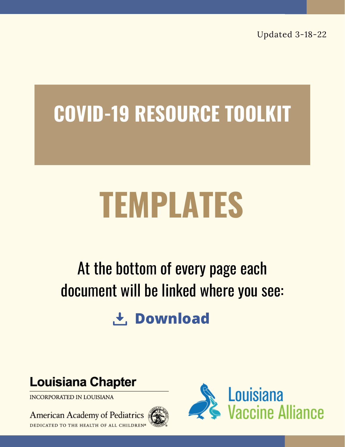Updated 3-18-22

# **COVID-19 RESOURCE TOOLKIT**

# **TEMPLATES**

# At the bottom of every page each document will be linked where you see:

**t** Download

### **Louisiana Chapter**

INCORPORATED IN LOUISIANA

American Academy of Pediatrics DEDICATED TO THE HEALTH OF ALL CHILDREN®



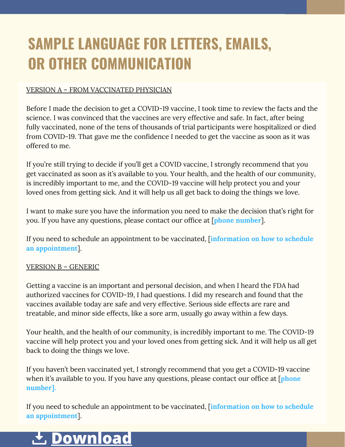# **SAMPLE LANGUAGE FOR LETTERS, EMAILS, OR OTHER COMMUNICATION**

#### VERSION A – FROM VACCINATED PHYSICIAN

Before I made the decision to get a COVID-19 vaccine, I took time to review the facts and the science. I was convinced that the vaccines are very effective and safe. In fact, after being fully vaccinated, none of the tens of thousands of trial participants were hospitalized or died from COVID-19. That gave me the confidence I needed to get the vaccine as soon as it was offered to me.

If you're still trying to decide if you'll get a COVID vaccine, I strongly recommend that you get vaccinated as soon as it's available to you. Your health, and the health of our community, is incredibly important to me, and the COVID-19 vaccine will help protect you and your loved ones from getting sick. And it will help us all get back to doing the things we love.

I want to make sure you have the information you need to make the decision that's right for you. If you have any questions, please contact our office at [**phone number**].

If you need to schedule an appointment to be vaccinated, [**information on how to schedule an appointment**].

#### VERSION B – GENERIC

Getting a vaccine is an important and personal decision, and when I heard the FDA had authorized vaccines for COVID-19, I had questions. I did my research and found that the vaccines available today are safe and very effective. Serious side effects are rare and treatable, and minor side effects, like a sore arm, usually go away within a few days.

Your health, and the health of our community, is incredibly important to me. The COVID-19 vaccine will help protect you and your loved ones from getting sick. And it will help us all get back to doing the things we love.

If you haven't been vaccinated yet, I strongly recommend that you get a COVID-19 vaccine when it's available to you. If you have any questions, please contact our office at [**phone number].**

If you need to schedule an appointment to be vaccinated, [**information on how to schedule an appointment**].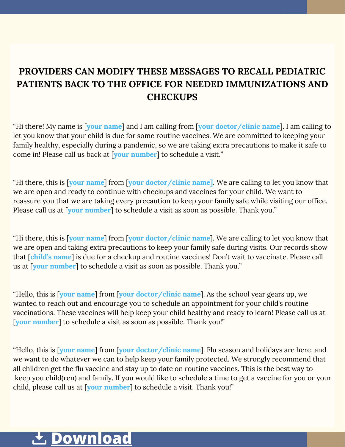#### **PROVIDERS CAN MODIFY THESE MESSAGES TO RECALL PEDIATRIC PATIENTS BACK TO THE OFFICE FOR NEEDED IMMUNIZATIONS AND CHECKUPS**

"Hi there! My name is [**your name**] and I am calling from [**your doctor/clinic name**]. I am calling to let you know that your child is due for some routine vaccines. We are committed to keeping your family healthy, especially during a pandemic, so we are taking extra precautions to make it safe to come in! Please call us back at [**your number**] to schedule a visit."

"Hi there, this is [**your name**] from [**your doctor/clinic name]**. We are calling to let you know that we are open and ready to continue with checkups and vaccines for your child. We want to reassure you that we are taking every precaution to keep your family safe while visiting our office. Please call us at [**your number**] to schedule a visit as soon as possible. Thank you."

"Hi there, this is [**your name**] from [**your doctor/clinic name**]. We are calling to let you know that we are open and taking extra precautions to keep your family safe during visits. Our records show that [**child's name**] is due for a checkup and routine vaccines! Don't wait to vaccinate. Please call us at [**your number**] to schedule a visit as soon as possible. Thank you."

"Hello, this is [**your name**] from [**your doctor/clinic name**]. As the school year gears up, we wanted to reach out and encourage you to schedule an appointment for your child's routine vaccinations. These vaccines will help keep your child healthy and ready to learn! Please call us at [**your number**] to schedule a visit as soon as possible. Thank you!"

"Hello, this is [**your name**] from [**your doctor/clinic name**]. Flu season and holidays are here, and we want to do whatever we can to help keep your family protected. We strongly recommend that all children get the flu vaccine and stay up to date on routine vaccines. This is the best way to keep you child(ren) and family. If you would like to schedule a time to get a vaccine for you or your child, please call us at [**your number**] to schedule a visit. Thank you!"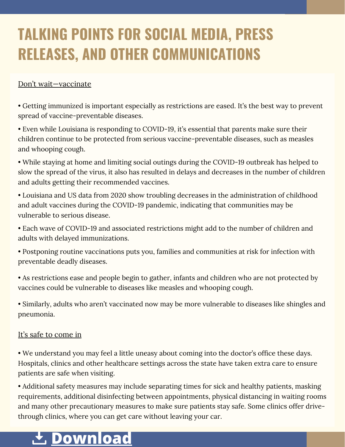# **TALKING POINTS FOR SOCIAL MEDIA, PRESS RELEASES, AND OTHER COMMUNICATIONS**

#### Don't wait—vaccinate

• Getting immunized is important especially as restrictions are eased. It's the best way to prevent spread of vaccine-preventable diseases.

• Even while Louisiana is responding to COVID-19, it's essential that parents make sure their children continue to be protected from serious vaccine-preventable diseases, such as measles and whooping cough.

• While staying at home and limiting social outings during the COVID-19 outbreak has helped to slow the spread of the virus, it also has resulted in delays and decreases in the number of children and adults getting their recommended vaccines.

• Louisiana and US data from 2020 show troubling decreases in the administration of childhood and adult vaccines during the COVID-19 pandemic, indicating that communities may be vulnerable to serious disease.

• Each wave of COVID-19 and associated restrictions might add to the number of children and adults with delayed immunizations.

• Postponing routine vaccinations puts you, families and communities at risk for infection with preventable deadly diseases.

• As restrictions ease and people begin to gather, infants and children who are not protected by vaccines could be vulnerable to diseases like measles and whooping cough.

• Similarly, adults who aren't vaccinated now may be more vulnerable to diseases like shingles and pneumonia.

#### It's safe to come in

• We understand you may feel a little uneasy about coming into the doctor's office these days. Hospitals, clinics and other healthcare settings across the state have taken extra care to ensure patients are safe when visiting.

• Additional safety measures may include separating times for sick and healthy patients, masking requirements, additional disinfecting between appointments, physical distancing in waiting rooms and many other precautionary measures to make sure patients stay safe. Some clinics offer drivethrough clinics, where you can get care without leaving your car.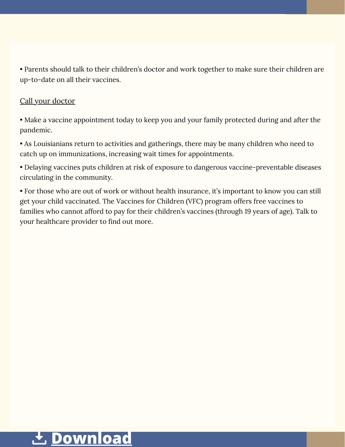• Parents should talk to their children's doctor and work together to make sure their children are up-to-date on all their vaccines.

#### Call your doctor

• Make a vaccine appointment today to keep you and your family protected during and after the pandemic.

• As Louisianians return to activities and gatherings, there may be many children who need to catch up on immunizations, increasing wait times for appointments.

• Delaying vaccines puts children at risk of exposure to dangerous vaccine-preventable diseases circulating in the community.

• For those who are out of work or without health insurance, it's important to know you can still get your child vaccinated. The Vaccines for Children (VFC) program offers free vaccines to families who cannot afford to pay for their children's vaccines (through 19 years of age). Talk to your healthcare provider to find out more.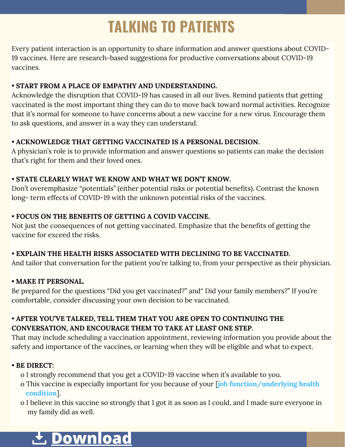# **TALKING TO PATIENTS**

Every patient interaction is an opportunity to share information and answer questions about COVID-19 vaccines. Here are research-based suggestions for productive conversations about COVID-19 vaccines.

#### • **START FROM A PLACE OF EMPATHY AND UNDERSTANDING.**

Acknowledge the disruption that COVID-19 has caused in all our lives. Remind patients that getting vaccinated is the most important thing they can do to move back toward normal activities. Recognize that it's normal for someone to have concerns about a new vaccine for a new virus. Encourage them to ask questions, and answer in a way they can understand.

#### • **ACKNOWLEDGE THAT GETTING VACCINATED IS A PERSONAL DECISION.**

A physician's role is to provide information and answer questions so patients can make the decision that's right for them and their loved ones.

#### • **STATE CLEARLY WHAT WE KNOW AND WHAT WE DON'T KNOW.**

Don't overemphasize "potentials" (either potential risks or potential benefits). Contrast the known long- term effects of COVID-19 with the unknown potential risks of the vaccines.

#### • **FOCUS ON THE BENEFITS OF GETTING A COVID VACCINE.**

Not just the consequences of not getting vaccinated. Emphasize that the benefits of getting the vaccine for exceed the risks.

#### • **EXPLAIN THE HEALTH RISKS ASSOCIATED WITH DECLINING TO BE VACCINATED.**

And tailor that conversation for the patient you're talking to, from your perspective as their physician.

#### **• MAKE IT PERSONAL.**

Be prepared for the questions "Did you get vaccinated?" and" Did your family members?" If you're comfortable, consider discussing your own decision to be vaccinated.

#### • **AFTER YOU'VE TALKED, TELL THEM THAT YOU ARE OPEN TO CONTINUING THE CONVERSATION, AND ENCOURAGE THEM TO TAKE AT LEAST ONE STEP.**

That may include scheduling a vaccination appointment, reviewing information you provide about the safety and importance of the vaccines, or learning when they will be eligible and what to expect.

#### • **BE DIRECT:**

- o I strongly recommend that you get a COVID-19 vaccine when it's available to you.
- o This vaccine is especially important for you because of your [**job function/underlying health condition**].
- o I believe in this vaccine so strongly that I got it as soon as I could, and I made sure everyone in my family did as well.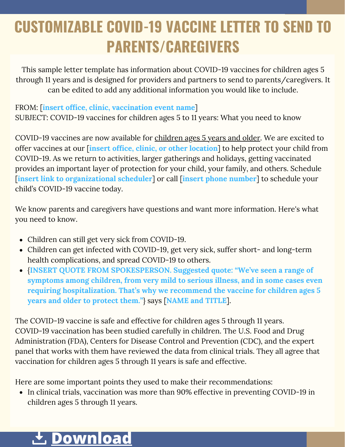# **CUSTOMIZABLE COVID-19 VACCINE LETTER TO SEND TO PARENTS/CAREGIVERS**

This sample letter template has information about COVID-19 vaccines for children ages 5 through 11 years and is designed for providers and partners to send to parents/caregivers. It can be edited to add any additional information you would like to include.

#### FROM: [**insert office, clinic, vaccination event name**]

SUBJECT: COVID-19 vaccines for children ages 5 to 11 years: What you need to know

COVID-19 vaccines are now available for [children](https://www.cdc.gov/coronavirus/2019-ncov/vaccines/recommendations/children-teens.html) ages 5 years and older. We are excited to offer vaccines at our [**insert office, clinic, or other location**] to help protect your child from COVID-19. As we return to activities, larger gatherings and holidays, getting vaccinated provides an important layer of protection for your child, your family, and others. Schedule [**insert link to organizational scheduler**] or call [**insert phone number**] to schedule your child's COVID-19 vaccine today.

We know parents and caregivers have questions and want more information. Here's what you need to know.

- Children can still get very sick from COVID-19.
- Children can get infected with COVID-19, get very sick, suffer short- and long-term health complications, and spread COVID-19 to others.
- {**INSERT QUOTE FROM SPOKESPERSON. Suggested quote: "We've seen a range of symptoms among children, from very mild to serious illness, and in some cases even requiring hospitalization. That's why we recommend the vaccine for children ages 5 years and older to protect them."**} says [**NAME and TITLE**].

The COVID-19 vaccine is safe and effective for children ages 5 through 11 years. COVID-19 vaccination has been studied carefully in children. The U.S. Food and Drug Administration (FDA), Centers for Disease Control and Prevention (CDC), and the expert panel that works with them have reviewed the data from clinical trials. They all agree that vaccination for children ages 5 through 11 years is safe and effective.

Here are some important points they used to make their recommendations:

• In clinical trials, vaccination was more than 90% effective in preventing COVID-19 in children ages 5 through 11 years.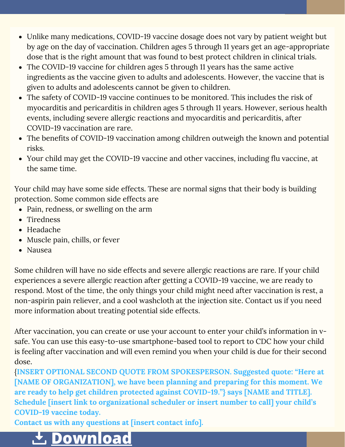- Unlike many medications, COVID-19 vaccine dosage does not vary by patient weight but by age on the day of vaccination. Children ages 5 through 11 years get an age-appropriate dose that is the right amount that was found to best protect children in clinical trials.
- The COVID-19 vaccine for children ages 5 through 11 years has the same active ingredients as the vaccine given to adults and adolescents. However, the vaccine that is given to adults and adolescents cannot be given to children.
- The safety of COVID-19 vaccine continues to be monitored. This includes the risk of [myocarditis](https://www.cdc.gov/coronavirus/2019-ncov/vaccines/safety/myocarditis.html) and pericarditis in children ages 5 through 11 years. However, serious health events, including severe allergic reactions and myocarditis and [pericarditis,](https://www.cdc.gov/coronavirus/2019-ncov/vaccines/safety/safety-of-vaccines.html) after COVID-19 vaccination are rare.
- The benefits of COVID-19 vaccination among children outweigh the known and potential risks.
- Your child may get the COVID-19 vaccine and other vaccines, including flu vaccine, at the same time.

Your child may have some side [effects.](https://www.cdc.gov/coronavirus/2019-ncov/vaccines/expect/after.html) These are normal signs that their body is building protection. Some common side effects are

- Pain, redness, or swelling on the arm
- Tiredness
- Headache
- Muscle pain, chills, or fever
- Nausea

Some children will have no side effects and severe allergic reactions are rare. If your child [experiences](https://www.cdc.gov/coronavirus/2019-ncov/vaccines/safety/allergic-reaction.html) a severe allergic reaction after getting a COVID-19 vaccine, we are ready to respond. Most of the time, the only things your child might need after vaccination is rest, a non-aspirin pain reliever, and a cool washcloth at the injection site. Contact us if you need more information about treating potential side effects.

After vaccination, you can create or use your account to enter your child's information in vsafe. You can use this easy-to-use [smartphone-based](https://www.cdc.gov/coronavirus/2019-ncov/vaccines/safety/vsafe.html) tool to report to CDC how your child is feeling after vaccination and will even remind you when your child is due for their second dose.

{**INSERT OPTIONAL SECOND QUOTE FROM SPOKESPERSON. Suggested quote: "Here at [NAME OF ORGANIZATION], we have been planning and preparing for this moment. We are ready to help get children protected against COVID-19."} says [NAME and TITLE]. Schedule [insert link to organizational scheduler or insert number to call] your child's COVID-19 vaccine today.**

**Contact us with any questions at [insert contact info].**